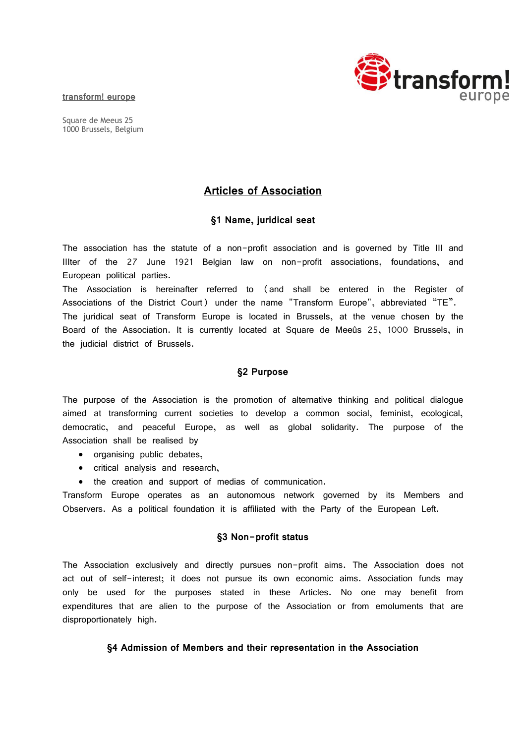#### **transform! europe**

Square de Meeus 25 1000 Brussels, Belgium



# **Articles of Association**

## **§1 Name, juridical seat**

The association has the statute of a non-profit association and is governed by Title III and IIIter of the 27 June 1921 Belgian law on non-profit associations, foundations, and European political parties.

The Association is hereinafter referred to (and shall be entered in the Register of Associations of the District Court) under the name "Transform Europe", abbreviated "TE". The juridical seat of Transform Europe is located in Brussels, at the venue chosen by the Board of the Association. It is currently located at Square de Meeûs 25, 1000 Brussels, in the judicial district of Brussels.

## **§2 Purpose**

The purpose of the Association is the promotion of alternative thinking and political dialogue aimed at transforming current societies to develop a common social, feminist, ecological, democratic, and peaceful Europe, as well as global solidarity. The purpose of the Association shall be realised by

- organising public debates,
- critical analysis and research,
- the creation and support of medias of communication.

Transform Europe operates as an autonomous network governed by its Members and Observers. As a political foundation it is affiliated with the Party of the European Left.

## **§3 Non-profit status**

The Association exclusively and directly pursues non-profit aims. The Association does not act out of self-interest; it does not pursue its own economic aims. Association funds may only be used for the purposes stated in these Articles. No one may benefit from expenditures that are alien to the purpose of the Association or from emoluments that are disproportionately high.

## **§4 Admission of Members and their representation in the Association**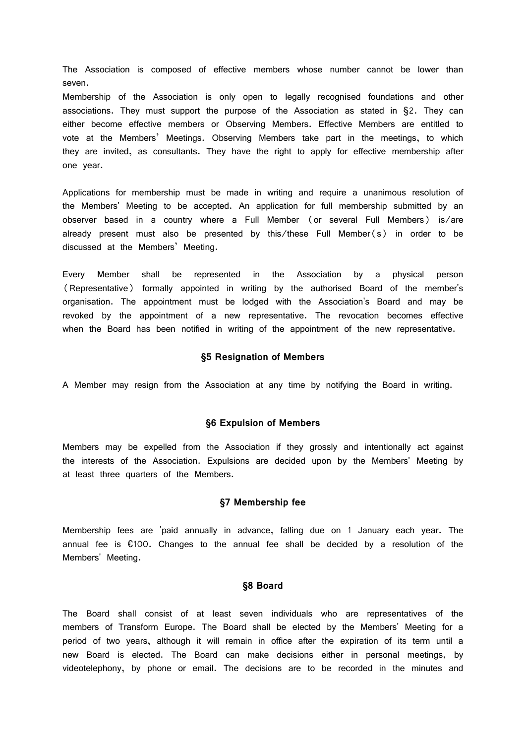The Association is composed of effective members whose number cannot be lower than seven.

Membership of the Association is only open to legally recognised foundations and other associations. They must support the purpose of the Association as stated in §2. They can either become effective members or Observing Members. Effective Members are entitled to vote at the Members' Meetings. Observing Members take part in the meetings, to which they are invited, as consultants. They have the right to apply for effective membership after one year.

Applications for membership must be made in writing and require a unanimous resolution of the Members' Meeting to be accepted. An application for full membership submitted by an observer based in a country where a Full Member (or several Full Members) is/are already present must also be presented by this/these Full Member(s) in order to be discussed at the Members' Meeting.

Every Member shall be represented in the Association by a physical person (Representative) formally appointed in writing by the authorised Board of the member's organisation. The appointment must be lodged with the Association's Board and may be revoked by the appointment of a new representative. The revocation becomes effective when the Board has been notified in writing of the appointment of the new representative.

#### **§5 Resignation of Members**

A Member may resign from the Association at any time by notifying the Board in writing.

#### **§6 Expulsion of Members**

Members may be expelled from the Association if they grossly and intentionally act against the interests of the Association. Expulsions are decided upon by the Members' Meeting by at least three quarters of the Members.

#### **§7 Membership fee**

Membership fees are 'paid annually in advance, falling due on 1 January each year. The annual fee is €100. Changes to the annual fee shall be decided by a resolution of the Members' Meeting.

### **§8 Board**

The Board shall consist of at least seven individuals who are representatives of the members of Transform Europe. The Board shall be elected by the Members' Meeting for a period of two years, although it will remain in office after the expiration of its term until a new Board is elected. The Board can make decisions either in personal meetings, by videotelephony, by phone or email. The decisions are to be recorded in the minutes and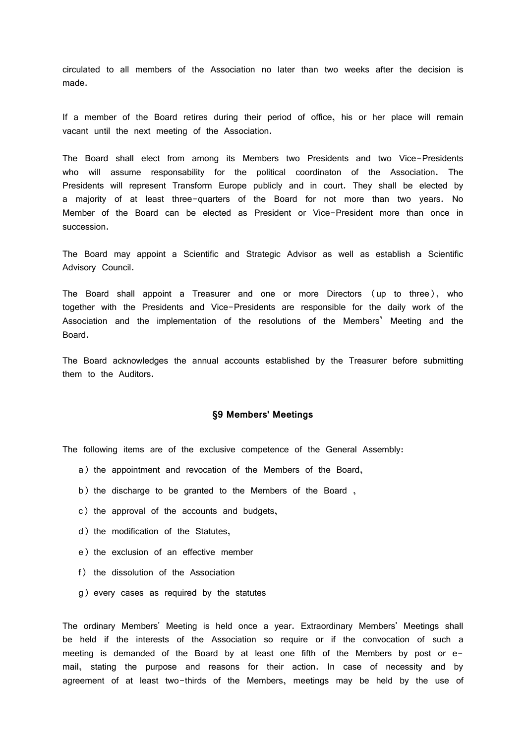circulated to all members of the Association no later than two weeks after the decision is made.

If a member of the Board retires during their period of office, his or her place will remain vacant until the next meeting of the Association.

The Board shall elect from among its Members two Presidents and two Vice-Presidents who will assume responsability for the political coordinaton of the Association. The Presidents will represent Transform Europe publicly and in court. They shall be elected by a majority of at least three-quarters of the Board for not more than two years. No Member of the Board can be elected as President or Vice-President more than once in succession.

The Board may appoint a Scientific and Strategic Advisor as well as establish a Scientific Advisory Council.

The Board shall appoint a Treasurer and one or more Directors (up to three), who together with the Presidents and Vice-Presidents are responsible for the daily work of the Association and the implementation of the resolutions of the Members' Meeting and the Board.

The Board acknowledges the annual accounts established by the Treasurer before submitting them to the Auditors.

### **§9 Members' Meetings**

The following items are of the exclusive competence of the General Assembly:

- a) the appointment and revocation of the Members of the Board,
- b) the discharge to be granted to the Members of the Board ,
- c) the approval of the accounts and budgets,
- d) the modification of the Statutes,
- e) the exclusion of an effective member
- f) the dissolution of the Association
- g) every cases as required by the statutes

The ordinary Members' Meeting is held once a year. Extraordinary Members' Meetings shall be held if the interests of the Association so require or if the convocation of such a meeting is demanded of the Board by at least one fifth of the Members by post or email, stating the purpose and reasons for their action. In case of necessity and by agreement of at least two-thirds of the Members, meetings may be held by the use of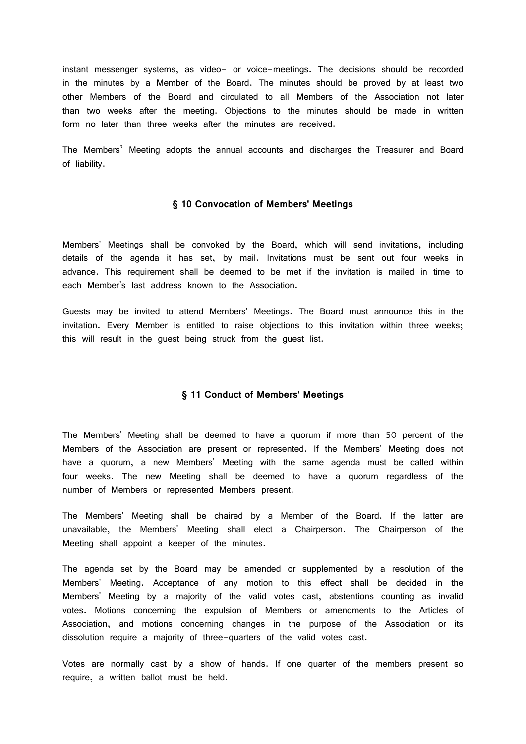instant messenger systems, as video- or voice-meetings. The decisions should be recorded in the minutes by a Member of the Board. The minutes should be proved by at least two other Members of the Board and circulated to all Members of the Association not later than two weeks after the meeting. Objections to the minutes should be made in written form no later than three weeks after the minutes are received.

The Members' Meeting adopts the annual accounts and discharges the Treasurer and Board of liability.

#### **§ 10 Convocation of Members' Meetings**

Members' Meetings shall be convoked by the Board, which will send invitations, including details of the agenda it has set, by mail. Invitations must be sent out four weeks in advance. This requirement shall be deemed to be met if the invitation is mailed in time to each Member's last address known to the Association.

Guests may be invited to attend Members' Meetings. The Board must announce this in the invitation. Every Member is entitled to raise objections to this invitation within three weeks; this will result in the guest being struck from the guest list.

## **§ 11 Conduct of Members' Meetings**

The Members' Meeting shall be deemed to have a quorum if more than 50 percent of the Members of the Association are present or represented. If the Members' Meeting does not have a quorum, a new Members' Meeting with the same agenda must be called within four weeks. The new Meeting shall be deemed to have a quorum regardless of the number of Members or represented Members present.

The Members' Meeting shall be chaired by a Member of the Board. If the latter are unavailable, the Members' Meeting shall elect a Chairperson. The Chairperson of the Meeting shall appoint a keeper of the minutes.

The agenda set by the Board may be amended or supplemented by a resolution of the Members' Meeting. Acceptance of any motion to this effect shall be decided in the Members' Meeting by a majority of the valid votes cast, abstentions counting as invalid votes. Motions concerning the expulsion of Members or amendments to the Articles of Association, and motions concerning changes in the purpose of the Association or its dissolution require a majority of three-quarters of the valid votes cast.

Votes are normally cast by a show of hands. If one quarter of the members present so require, a written ballot must be held.